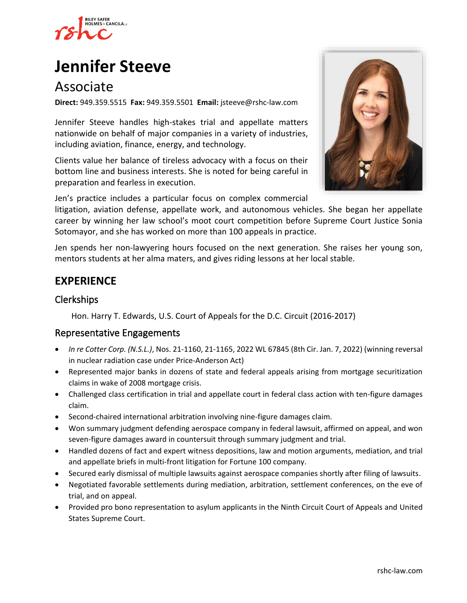

# **[Jennifer Steeve](https://www.rshc-law.com/attorneys/attorney/jennifer-steeve)**

# Associate

**Direct:** 949.359.5515 **Fax:** 949.359.5501 **Email:** jsteeve@rshc-law.com

Jennifer Steeve handles high-stakes trial and appellate matters nationwide on behalf of major companies in a variety of industries, including aviation, finance, energy, and technology.

Clients value her balance of tireless advocacy with a focus on their bottom line and business interests. She is noted for being careful in preparation and fearless in execution.

Jen's practice includes a particular focus on complex commercial

litigation, aviation defense, appellate work, and autonomous vehicles. She began her appellate career by winning her law school's moot court competition before Supreme Court Justice Sonia Sotomayor, and she has worked on more than 100 appeals in practice.

Jen spends her non-lawyering hours focused on the next generation. She raises her young son, mentors students at her alma maters, and gives riding lessons at her local stable.

### **EXPERIENCE**

#### Clerkships

Hon. Harry T. Edwards, U.S. Court of Appeals for the D.C. Circuit (2016-2017)

#### Representative Engagements

- *In re Cotter Corp. (N.S.L.)*, Nos. 21-1160, 21-1165, 2022 WL 67845 (8th Cir. Jan. 7, 2022) (winning reversal in nuclear radiation case under Price-Anderson Act)
- Represented major banks in dozens of state and federal appeals arising from mortgage securitization claims in wake of 2008 mortgage crisis.
- Challenged class certification in trial and appellate court in federal class action with ten-figure damages claim.
- Second-chaired international arbitration involving nine-figure damages claim.
- Won summary judgment defending aerospace company in federal lawsuit, affirmed on appeal, and won seven-figure damages award in countersuit through summary judgment and trial.
- Handled dozens of fact and expert witness depositions, law and motion arguments, mediation, and trial and appellate briefs in multi-front litigation for Fortune 100 company.
- Secured early dismissal of multiple lawsuits against aerospace companies shortly after filing of lawsuits.
- Negotiated favorable settlements during mediation, arbitration, settlement conferences, on the eve of trial, and on appeal.
- Provided pro bono representation to asylum applicants in the Ninth Circuit Court of Appeals and United States Supreme Court.